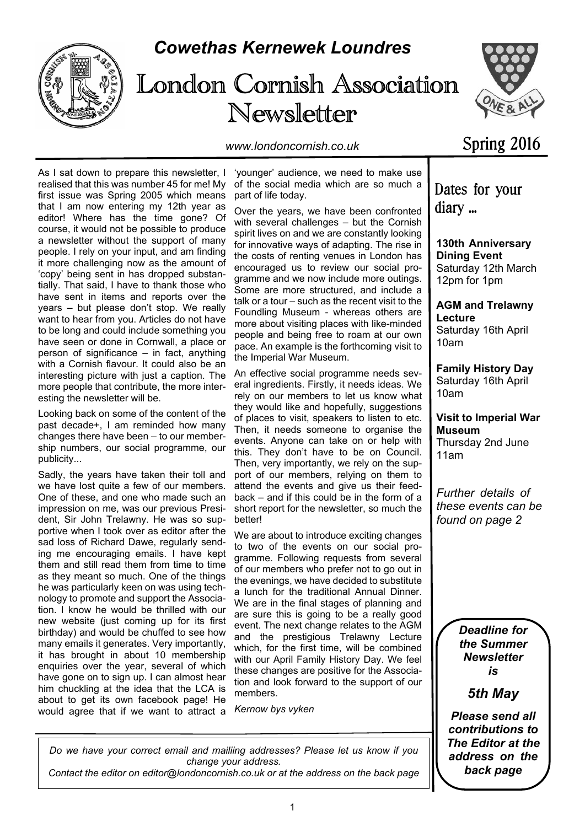

# *Cowethas Kernewek Loundres*

# London Cornish Association Newsletter



*www.londoncornish.co.uk*

'younger' audience, we need to make use of the social media which are so much a part of life today.

Over the years, we have been confronted with several challenges – but the Cornish spirit lives on and we are constantly looking for innovative ways of adapting. The rise in the costs of renting venues in London has encouraged us to review our social programme and we now include more outings. Some are more structured, and include a talk or a tour – such as the recent visit to the Foundling Museum - whereas others are more about visiting places with like-minded people and being free to roam at our own pace. An example is the forthcoming visit to the Imperial War Museum.

An effective social programme needs several ingredients. Firstly, it needs ideas. We rely on our members to let us know what they would like and hopefully, suggestions of places to visit, speakers to listen to etc. Then, it needs someone to organise the events. Anyone can take on or help with this. They don't have to be on Council. Then, very importantly, we rely on the support of our members, relying on them to attend the events and give us their feedback – and if this could be in the form of a short report for the newsletter, so much the better!

We are about to introduce exciting changes to two of the events on our social programme. Following requests from several of our members who prefer not to go out in the evenings, we have decided to substitute a lunch for the traditional Annual Dinner. We are in the final stages of planning and are sure this is going to be a really good event. The next change relates to the AGM and the prestigious Trelawny Lecture which, for the first time, will be combined with our April Family History Day. We feel these changes are positive for the Association and look forward to the support of our members.

*Kernow bys vyken*

Spring 2016

Dates for your diary ...

**130th Anniversary Dining Event** Saturday 12th March 12pm for 1pm

**AGM and Trelawny Lecture** Saturday 16th April 10am

**Family History Day** Saturday 16th April 10am

**Visit to Imperial War Museum** Thursday 2nd June 11am

*Further details of these events can be found on page 2*

> *Deadline for the Summer Newsletter is*

> > *5th May*

*Please send all contributions to The Editor at the address on the back page*

realised that this was number 45 for me! My first issue was Spring 2005 which means that I am now entering my 12th year as editor! Where has the time gone? Of course, it would not be possible to produce a newsletter without the support of many people. I rely on your input, and am finding it more challenging now as the amount of 'copy' being sent in has dropped substantially. That said, I have to thank those who have sent in items and reports over the years – but please don't stop. We really want to hear from you. Articles do not have to be long and could include something you have seen or done in Cornwall, a place or person of significance – in fact, anything with a Cornish flavour. It could also be an interesting picture with just a caption. The more people that contribute, the more interesting the newsletter will be.

As I sat down to prepare this newsletter. I

Looking back on some of the content of the past decade+, I am reminded how many changes there have been – to our membership numbers, our social programme, our publicity...

Sadly, the years have taken their toll and we have lost quite a few of our members. One of these, and one who made such an impression on me, was our previous President, Sir John Trelawny. He was so supportive when I took over as editor after the sad loss of Richard Dawe, regularly sending me encouraging emails. I have kept them and still read them from time to time as they meant so much. One of the things he was particularly keen on was using technology to promote and support the Association. I know he would be thrilled with our new website (just coming up for its first birthday) and would be chuffed to see how many emails it generates. Very importantly, it has brought in about 10 membership enquiries over the year, several of which have gone on to sign up. I can almost hear him chuckling at the idea that the LCA is about to get its own facebook page! He would agree that if we want to attract a

*Do we have your correct email and mailiing addresses? Please let us know if you change your address. Contact the editor on editor@londoncornish.co.uk or at the address on the back page*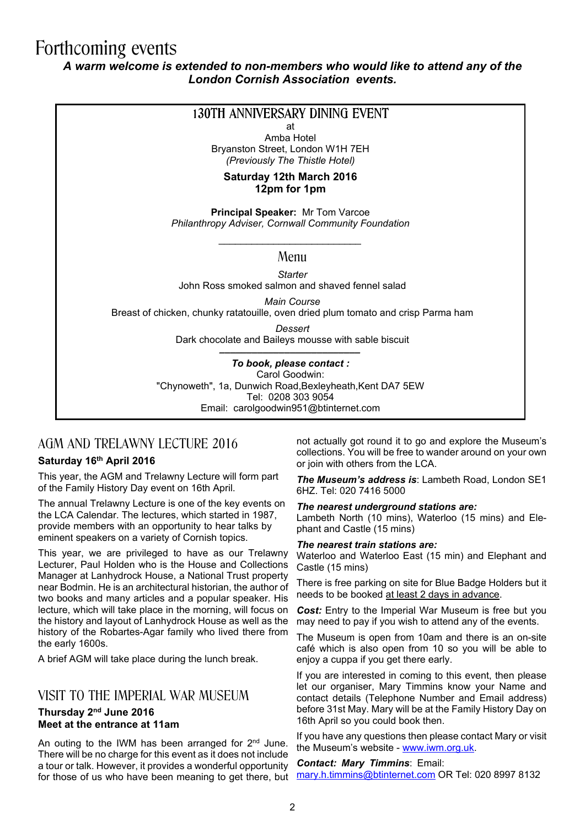# Forthcoming events

### *A warm welcome is extended to non-members who would like to attend any of the London Cornish Association events.*

| 130TH ANNIVERSARY DINING EVENT                                                    |
|-----------------------------------------------------------------------------------|
| at                                                                                |
| Amba Hotel                                                                        |
| Bryanston Street, London W1H 7EH                                                  |
| (Previously The Thistle Hotel)                                                    |
| Saturday 12th March 2016                                                          |
| 12pm for 1pm                                                                      |
|                                                                                   |
| Principal Speaker: Mr Tom Varcoe                                                  |
| Philanthropy Adviser, Cornwall Community Foundation                               |
|                                                                                   |
| Menu                                                                              |
| <b>Starter</b>                                                                    |
| John Ross smoked salmon and shaved fennel salad                                   |
| Main Course                                                                       |
| Breast of chicken, chunky ratatouille, oven dried plum tomato and crisp Parma ham |
| Dessert                                                                           |
| Dark chocolate and Baileys mousse with sable biscuit                              |
|                                                                                   |
| To book, please contact :                                                         |
| Carol Goodwin:                                                                    |
| "Chynoweth", 1a, Dunwich Road, Bexleyheath, Kent DA7 5EW                          |
| Tel: 0208 303 9054                                                                |
| Email: carolgoodwin951@btinternet.com                                             |
|                                                                                   |

# AGM AND TRELAWNY LECTURE 2016

#### **Saturday 16th April 2016**

This year, the AGM and Trelawny Lecture will form part of the Family History Day event on 16th April.

The annual Trelawny Lecture is one of the key events on the LCA Calendar. The lectures, which started in 1987, provide members with an opportunity to hear talks by eminent speakers on a variety of Cornish topics.

This year, we are privileged to have as our Trelawny Lecturer, Paul Holden who is the House and Collections Manager at Lanhydrock House, a National Trust property near Bodmin. He is an architectural historian, the author of two books and many articles and a popular speaker. His lecture, which will take place in the morning, will focus on the history and layout of Lanhydrock House as well as the history of the Robartes-Agar family who lived there from the early 1600s.

A brief AGM will take place during the lunch break.

# VISIT TO THE IMPERIAL WAR MUSEUM

#### **Thursday 2nd June 2016 Meet at the entrance at 11am**

An outing to the IWM has been arranged for  $2<sup>nd</sup>$  June. There will be no charge for this event as it does not include a tour or talk. However, it provides a wonderful opportunity for those of us who have been meaning to get there, but

not actually got round it to go and explore the Museum's collections. You will be free to wander around on your own or join with others from the LCA.

*The Museum's address is*: Lambeth Road, London SE1 6HZ. Tel: 020 7416 5000

#### *The nearest underground stations are:*

Lambeth North (10 mins), Waterloo (15 mins) and Elephant and Castle (15 mins)

#### *The nearest train stations are:*

Waterloo and Waterloo East (15 min) and Elephant and Castle (15 mins)

There is free parking on site for Blue Badge Holders but it needs to be booked at least 2 days in advance.

*Cost:* Entry to the Imperial War Museum is free but you may need to pay if you wish to attend any of the events.

The Museum is open from 10am and there is an on-site café which is also open from 10 so you will be able to enjoy a cuppa if you get there early.

If you are interested in coming to this event, then please let our organiser, Mary Timmins know your Name and contact details (Telephone Number and Email address) before 31st May. Mary will be at the Family History Day on 16th April so you could book then.

If you have any questions then please contact Mary or visit the Museum's website - www.iwm.org.uk.

*Contact: Mary Timmins*: Email: mary.h.timmins@btinternet.com OR Tel: 020 8997 8132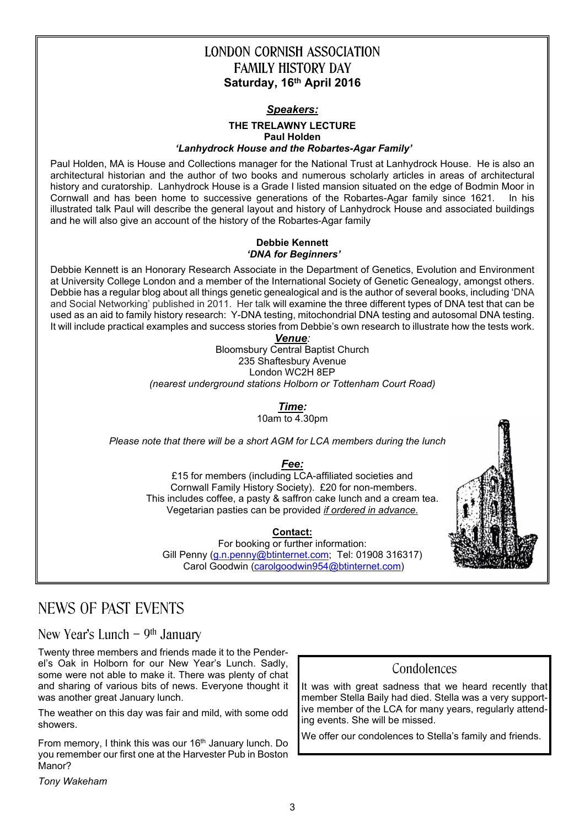# LONDON CORNISH ASSOCIATION **FAMILY HISTORY DAY Saturday, 16th April 2016**

#### *Speakers:*

# **THE TRELAWNY LECTURE Paul Holden**

#### *'Lanhydrock House and the Robartes-Agar Family'*

Paul Holden, MA is House and Collections manager for the National Trust at Lanhydrock House. He is also an architectural historian and the author of two books and numerous scholarly articles in areas of architectural history and curatorship. Lanhydrock House is a Grade I listed mansion situated on the edge of Bodmin Moor in Cornwall and has been home to successive generations of the Robartes-Agar family since 1621. In his illustrated talk Paul will describe the general layout and history of Lanhydrock House and associated buildings and he will also give an account of the history of the Robartes-Agar family

#### **Debbie Kennett**  *'DNA for Beginners'*

Debbie Kennett is an Honorary Research Associate in the Department of Genetics, Evolution and Environment at University College London and a member of the International Society of Genetic Genealogy, amongst others. Debbie has a regular blog about all things genetic genealogical and is the author of several books, including 'DNA and Social Networking' published in 2011. Her talk will examine the three different types of DNA test that can be used as an aid to family history research: Y-DNA testing, mitochondrial DNA testing and autosomal DNA testing. It will include practical examples and success stories from Debbie's own research to illustrate how the tests work.

*Venue:*

Bloomsbury Central Baptist Church 235 Shaftesbury Avenue London WC2H 8EP *(nearest underground stations Holborn or Tottenham Court Road)*

> *Time:* 10am to 4.30pm

*Please note that there will be a short AGM for LCA members during the lunch* 

#### *Fee:*

£15 for members (including LCA-affiliated societies and Cornwall Family History Society). £20 for non-members. This includes coffee, a pasty & saffron cake lunch and a cream tea. Vegetarian pasties can be provided *if ordered in advance*.

#### **Contact:**

For booking or further information: Gill Penny (g.n.penny@btinternet.com; Tel: 01908 316317) Carol Goodwin (carolgoodwin954@btinternet.com)

# NEWS OF PAST EVENTS

New Year's Lunch –  $9<sup>th</sup>$  January

Twenty three members and friends made it to the Penderel's Oak in Holborn for our New Year's Lunch. Sadly, some were not able to make it. There was plenty of chat and sharing of various bits of news. Everyone thought it was another great January lunch.

The weather on this day was fair and mild, with some odd showers.

From memory, I think this was our 16<sup>th</sup> January lunch. Do you remember our first one at the Harvester Pub in Boston Manor?

*Tony Wakeham*



# Condolences

It was with great sadness that we heard recently that member Stella Baily had died. Stella was a very supportive member of the LCA for many years, regularly attending events. She will be missed.

We offer our condolences to Stella's family and friends.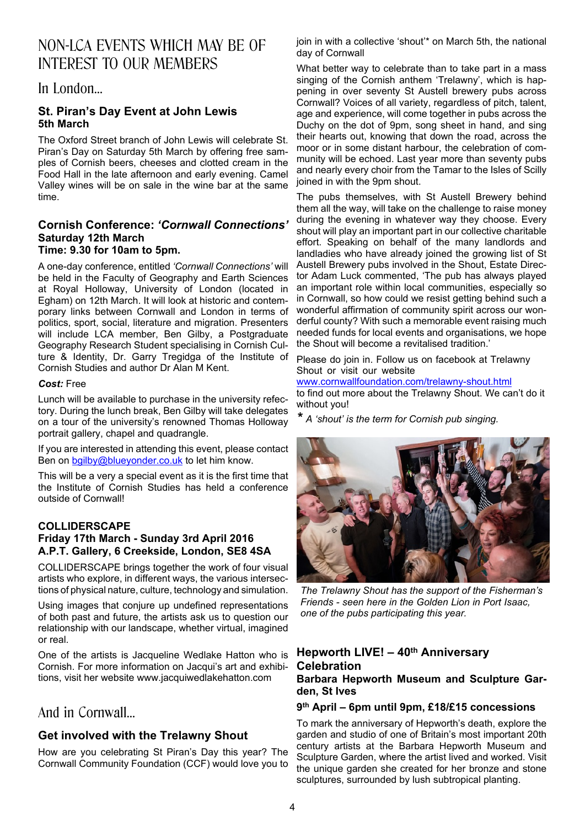# NON-LCA EVENTS WHICH MAY BE OF INTEREST TO OUR MEMBERS

# In London…

## **St. Piran's Day Event at John Lewis 5th March**

The Oxford Street branch of John Lewis will celebrate St. Piran's Day on Saturday 5th March by offering free samples of Cornish beers, cheeses and clotted cream in the Food Hall in the late afternoon and early evening. Camel Valley wines will be on sale in the wine bar at the same time.

#### **Cornish Conference:** *'Cornwall Connections'* **Saturday 12th March Time: 9.30 for 10am to 5pm.**

A one-day conference, entitled *'Cornwall Connections'* will be held in the Faculty of Geography and Earth Sciences at Royal Holloway, University of London (located in Egham) on 12th March. It will look at historic and contemporary links between Cornwall and London in terms of politics, sport, social, literature and migration. Presenters will include LCA member, Ben Gilby, a Postgraduate Geography Research Student specialising in Cornish Culture & Identity, Dr. Garry Tregidga of the Institute of Cornish Studies and author Dr Alan M Kent.

#### *Cost:* Free

Lunch will be available to purchase in the university refectory. During the lunch break, Ben Gilby will take delegates on a tour of the university's renowned Thomas Holloway portrait gallery, chapel and quadrangle.

If you are interested in attending this event, please contact Ben on bgilby@blueyonder.co.uk to let him know.

This will be a very a special event as it is the first time that the Institute of Cornish Studies has held a conference outside of Cornwall!

#### **COLLIDERSCAPE Friday 17th March - Sunday 3rd April 2016 A.P.T. Gallery, 6 Creekside, London, SE8 4SA**

COLLIDERSCAPE brings together the work of four visual artists who explore, in different ways, the various intersections of physical nature, culture, technology and simulation.

Using images that conjure up undefined representations of both past and future, the artists ask us to question our relationship with our landscape, whether virtual, imagined or real.

One of the artists is Jacqueline Wedlake Hatton who is Cornish. For more information on Jacqui's art and exhibitions, visit her website www.jacquiwedlakehatton.com

# And in Cornwall…

# **Get involved with the Trelawny Shout**

How are you celebrating St Piran's Day this year? The Cornwall Community Foundation (CCF) would love you to

join in with a collective 'shout'\* on March 5th, the national day of Cornwall

What better way to celebrate than to take part in a mass singing of the Cornish anthem 'Trelawny', which is happening in over seventy St Austell brewery pubs across Cornwall? Voices of all variety, regardless of pitch, talent, age and experience, will come together in pubs across the Duchy on the dot of 9pm, song sheet in hand, and sing their hearts out, knowing that down the road, across the moor or in some distant harbour, the celebration of community will be echoed. Last year more than seventy pubs and nearly every choir from the Tamar to the Isles of Scilly joined in with the 9pm shout.

The pubs themselves, with St Austell Brewery behind them all the way, will take on the challenge to raise money during the evening in whatever way they choose. Every shout will play an important part in our collective charitable effort. Speaking on behalf of the many landlords and landladies who have already joined the growing list of St Austell Brewery pubs involved in the Shout, Estate Director Adam Luck commented, 'The pub has always played an important role within local communities, especially so in Cornwall, so how could we resist getting behind such a wonderful affirmation of community spirit across our wonderful county? With such a memorable event raising much needed funds for local events and organisations, we hope the Shout will become a revitalised tradition.'

Please do join in. Follow us on facebook at Trelawny Shout or visit our website

www.cornwallfoundation.com/trelawny-shout.html

to find out more about the Trelawny Shout. We can't do it without you!

*\* A 'shout' is the term for Cornish pub singing.*



*The Trelawny Shout has the support of the Fisherman's Friends - seen here in the Golden Lion in Port Isaac, one of the pubs participating this year.*

# **Hepworth LIVE! – 40th Anniversary Celebration**

#### **Barbara Hepworth Museum and Sculpture Garden, St Ives**

#### **9 th April – 6pm until 9pm, £18/£15 concessions**

To mark the anniversary of Hepworth's death, explore the garden and studio of one of Britain's most important 20th century artists at the Barbara Hepworth Museum and Sculpture Garden, where the artist lived and worked. Visit the unique garden she created for her bronze and stone sculptures, surrounded by lush subtropical planting.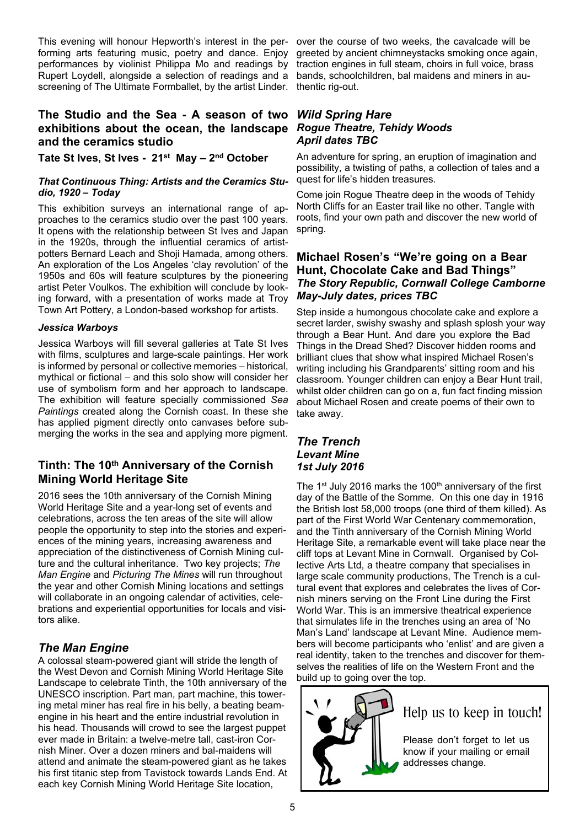This evening will honour Hepworth's interest in the per-over the course of two weeks, the cavalcade will be forming arts featuring music, poetry and dance. Enjoy performances by violinist Philippa Mo and readings by Rupert Loydell, alongside a selection of readings and a bands, schoolchildren, bal maidens and miners in auscreening of The Ultimate Formballet, by the artist Linder.

#### **The Studio and the Sea - A season of two exhibitions about the ocean, the landscape and the ceramics studio**

**Tate St Ives, St Ives - 21st May – 2nd October**

#### *That Continuous Thing: Artists and the Ceramics Studio, 1920 – Today*

This exhibition surveys an international range of approaches to the ceramics studio over the past 100 years. It opens with the relationship between St Ives and Japan in the 1920s, through the influential ceramics of artistpotters Bernard Leach and Shoji Hamada, among others. An exploration of the Los Angeles 'clay revolution' of the 1950s and 60s will feature sculptures by the pioneering artist Peter Voulkos. The exhibition will conclude by looking forward, with a presentation of works made at Troy Town Art Pottery, a London-based workshop for artists.

#### *Jessica Warboys*

Jessica Warboys will fill several galleries at Tate St Ives with films, sculptures and large-scale paintings. Her work is informed by personal or collective memories – historical, mythical or fictional – and this solo show will consider her use of symbolism form and her approach to landscape. The exhibition will feature specially commissioned *Sea Paintings* created along the Cornish coast. In these she has applied pigment directly onto canvases before submerging the works in the sea and applying more pigment.

### **Tinth: The 10th Anniversary of the Cornish Mining World Heritage Site**

2016 sees the 10th anniversary of the Cornish Mining World Heritage Site and a year-long set of events and celebrations, across the ten areas of the site will allow people the opportunity to step into the stories and experiences of the mining years, increasing awareness and appreciation of the distinctiveness of Cornish Mining culture and the cultural inheritance. Two key projects; *The Man Engine* and *Picturing The Mines* will run throughout the year and other Cornish Mining locations and settings will collaborate in an ongoing calendar of activities, celebrations and experiential opportunities for locals and visitors alike.

# *The Man Engine*

A colossal steam-powered giant will stride the length of the West Devon and Cornish Mining World Heritage Site Landscape to celebrate Tinth, the 10th anniversary of the UNESCO inscription. Part man, part machine, this towering metal miner has real fire in his belly, a beating beamengine in his heart and the entire industrial revolution in his head. Thousands will crowd to see the largest puppet ever made in Britain: a twelve-metre tall, cast-iron Cornish Miner. Over a dozen miners and bal-maidens will attend and animate the steam-powered giant as he takes his first titanic step from Tavistock towards Lands End. At each key Cornish Mining World Heritage Site location,

greeted by ancient chimneystacks smoking once again, traction engines in full steam, choirs in full voice, brass thentic rig-out.

#### *Wild Spring Hare Rogue Theatre, Tehidy Woods April dates TBC*

An adventure for spring, an eruption of imagination and possibility, a twisting of paths, a collection of tales and a quest for life's hidden treasures.

Come join Rogue Theatre deep in the woods of Tehidy North Cliffs for an Easter trail like no other. Tangle with roots, find your own path and discover the new world of spring.

### **Michael Rosen's "We're going on a Bear Hunt, Chocolate Cake and Bad Things"** *The Story Republic, Cornwall College Camborne May-July dates, prices TBC*

Step inside a humongous chocolate cake and explore a secret larder, swishy swashy and splash splosh your way through a Bear Hunt. And dare you explore the Bad Things in the Dread Shed? Discover hidden rooms and brilliant clues that show what inspired Michael Rosen's writing including his Grandparents' sitting room and his classroom. Younger children can enjoy a Bear Hunt trail, whilst older children can go on a, fun fact finding mission about Michael Rosen and create poems of their own to take away.

#### *The Trench Levant Mine 1st July 2016*

The 1<sup>st</sup> July 2016 marks the 100<sup>th</sup> anniversary of the first day of the Battle of the Somme. On this one day in 1916 the British lost 58,000 troops (one third of them killed). As part of the First World War Centenary commemoration, and the Tinth anniversary of the Cornish Mining World Heritage Site, a remarkable event will take place near the cliff tops at Levant Mine in Cornwall. Organised by Collective Arts Ltd, a theatre company that specialises in large scale community productions, The Trench is a cultural event that explores and celebrates the lives of Cornish miners serving on the Front Line during the First World War. This is an immersive theatrical experience that simulates life in the trenches using an area of 'No Man's Land' landscape at Levant Mine. Audience members will become participants who 'enlist' and are given a real identity, taken to the trenches and discover for themselves the realities of life on the Western Front and the build up to going over the top.

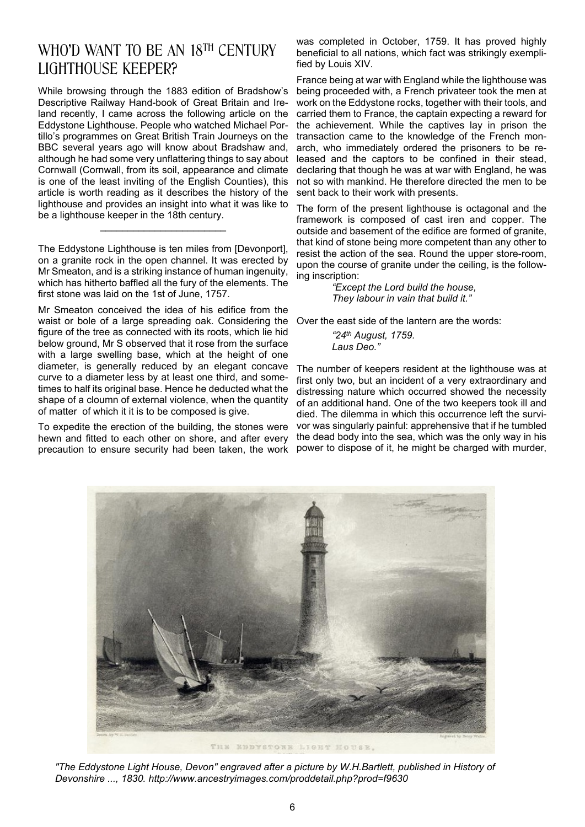# WHO'D WANT TO BE AN 18TH CENTURY LIGHTHOUSE KEEPER?

While browsing through the 1883 edition of Bradshow's Descriptive Railway Hand-book of Great Britain and Ireland recently, I came across the following article on the Eddystone Lighthouse. People who watched Michael Portillo's programmes on Great British Train Journeys on the BBC several years ago will know about Bradshaw and, although he had some very unflattering things to say about Cornwall (Cornwall, from its soil, appearance and climate is one of the least inviting of the English Counties), this article is worth reading as it describes the history of the lighthouse and provides an insight into what it was like to be a lighthouse keeper in the 18th century.

The Eddystone Lighthouse is ten miles from [Devonport], on a granite rock in the open channel. It was erected by Mr Smeaton, and is a striking instance of human ingenuity, which has hitherto baffled all the fury of the elements. The first stone was laid on the 1st of June, 1757.

\_\_\_\_\_\_\_\_\_\_\_\_\_\_\_\_\_\_\_\_\_\_\_

Mr Smeaton conceived the idea of his edifice from the waist or bole of a large spreading oak. Considering the figure of the tree as connected with its roots, which lie hid below ground, Mr S observed that it rose from the surface with a large swelling base, which at the height of one diameter, is generally reduced by an elegant concave curve to a diameter less by at least one third, and sometimes to half its original base. Hence he deducted what the shape of a cloumn of external violence, when the quantity of matter of which it it is to be composed is give.

To expedite the erection of the building, the stones were hewn and fitted to each other on shore, and after every precaution to ensure security had been taken, the work

was completed in October, 1759. It has proved highly beneficial to all nations, which fact was strikingly exemplified by Louis XIV.

France being at war with England while the lighthouse was being proceeded with, a French privateer took the men at work on the Eddystone rocks, together with their tools, and carried them to France, the captain expecting a reward for the achievement. While the captives lay in prison the transaction came to the knowledge of the French monarch, who immediately ordered the prisoners to be released and the captors to be confined in their stead, declaring that though he was at war with England, he was not so with mankind. He therefore directed the men to be sent back to their work with presents.

The form of the present lighthouse is octagonal and the framework is composed of cast iren and copper. The outside and basement of the edifice are formed of granite, that kind of stone being more competent than any other to resist the action of the sea. Round the upper store-room, upon the course of granite under the ceiling, is the following inscription:

*"Except the Lord build the house, They labour in vain that build it."*

Over the east side of the lantern are the words:

*"24th August, 1759. Laus Deo."*

The number of keepers resident at the lighthouse was at first only two, but an incident of a very extraordinary and distressing nature which occurred showed the necessity of an additional hand. One of the two keepers took ill and died. The dilemma in which this occurrence left the survivor was singularly painful: apprehensive that if he tumbled the dead body into the sea, which was the only way in his power to dispose of it, he might be charged with murder,



THE EDDYSTONE LIGHT HOUSE.

*"The Eddystone Light House, Devon" engraved after a picture by W.H.Bartlett, published in History of Devonshire ..., 1830. http://www.ancestryimages.com/proddetail.php?prod=f9630*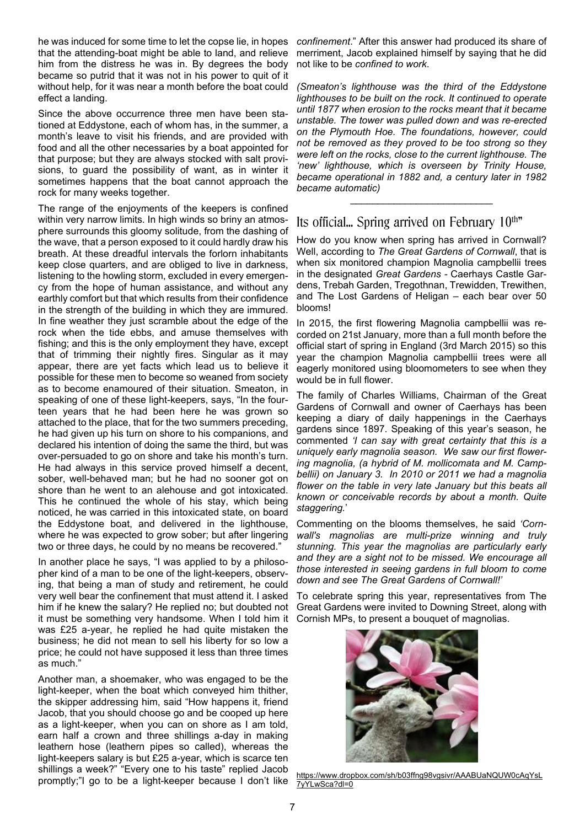he was induced for some time to let the copse lie, in hopes that the attending-boat might be able to land, and relieve him from the distress he was in. By degrees the body became so putrid that it was not in his power to quit of it without help, for it was near a month before the boat could effect a landing.

Since the above occurrence three men have been stationed at Eddystone, each of whom has, in the summer, a month's leave to visit his friends, and are provided with food and all the other necessaries by a boat appointed for that purpose; but they are always stocked with salt provisions, to guard the possibility of want, as in winter it sometimes happens that the boat cannot approach the rock for many weeks together.

The range of the enjoyments of the keepers is confined within very narrow limits. In high winds so briny an atmosphere surrounds this gloomy solitude, from the dashing of the wave, that a person exposed to it could hardly draw his breath. At these dreadful intervals the forlorn inhabitants keep close quarters, and are obliged to live in darkness, listening to the howling storm, excluded in every emergency from the hope of human assistance, and without any earthly comfort but that which results from their confidence in the strength of the building in which they are immured. In fine weather they just scramble about the edge of the rock when the tide ebbs, and amuse themselves with fishing; and this is the only employment they have, except that of trimming their nightly fires. Singular as it may appear, there are yet facts which lead us to believe it possible for these men to become so weaned from society as to become enamoured of their situation. Smeaton, in speaking of one of these light-keepers, says, "In the fourteen years that he had been here he was grown so attached to the place, that for the two summers preceding, he had given up his turn on shore to his companions, and declared his intention of doing the same the third, but was over-persuaded to go on shore and take his month's turn. He had always in this service proved himself a decent, sober, well-behaved man; but he had no sooner got on shore than he went to an alehouse and got intoxicated. This he continued the whole of his stay, which being noticed, he was carried in this intoxicated state, on board the Eddystone boat, and delivered in the lighthouse, where he was expected to grow sober; but after lingering two or three days, he could by no means be recovered."

In another place he says, "I was applied to by a philosopher kind of a man to be one of the light-keepers, observing, that being a man of study and retirement, he could very well bear the confinement that must attend it. I asked him if he knew the salary? He replied no; but doubted not it must be something very handsome. When I told him it was £25 a-year, he replied he had quite mistaken the business; he did not mean to sell his liberty for so low a price; he could not have supposed it less than three times as much."

Another man, a shoemaker, who was engaged to be the light-keeper, when the boat which conveyed him thither, the skipper addressing him, said "How happens it, friend Jacob, that you should choose go and be cooped up here as a light-keeper, when you can on shore as I am told, earn half a crown and three shillings a-day in making leathern hose (leathern pipes so called), whereas the light-keepers salary is but £25 a-year, which is scarce ten shillings a week?" "Every one to his taste" replied Jacob promptly;"I go to be a light-keeper because I don't like

*confinement*." After this answer had produced its share of merriment, Jacob explained himself by saying that he did not like to be *confined to work*.

*(Smeaton's lighthouse was the third of the Eddystone lighthouses to be built on the rock. It continued to operate until 1877 when erosion to the rocks meant that it became unstable. The tower was pulled down and was re-erected on the Plymouth Hoe. The foundations, however, could not be removed as they proved to be too strong so they were left on the rocks, close to the current lighthouse. The 'new' lighthouse, which is overseen by Trinity House, became operational in 1882 and, a century later in 1982 became automatic)*

# Its official... Spring arrived on February 10<sup>th"</sup>

\_\_\_\_\_\_\_\_\_\_\_\_\_\_\_\_\_\_\_\_\_\_\_\_\_\_

How do you know when spring has arrived in Cornwall? Well, according to *The Great Gardens of Cornwall*, that is when six monitored champion Magnolia campbellii trees in the designated *Great Gardens -* Caerhays Castle Gardens, Trebah Garden, Tregothnan, Trewidden, Trewithen, and The Lost Gardens of Heligan – each bear over 50 blooms!

In 2015, the first flowering Magnolia campbellii was recorded on 21st January, more than a full month before the official start of spring in England (3rd March 2015) so this year the champion Magnolia campbellii trees were all eagerly monitored using bloomometers to see when they would be in full flower.

The family of Charles Williams, Chairman of the Great Gardens of Cornwall and owner of Caerhays has been keeping a diary of daily happenings in the Caerhays gardens since 1897. Speaking of this year's season, he commented *'I can say with great certainty that this is a uniquely early magnolia season. We saw our first flowering magnolia, (a hybrid of M. mollicomata and M. Campbellii) on January 3. In 2010 or 2011 we had a magnolia flower on the table in very late January but this beats all known or conceivable records by about a month. Quite staggering.*'

Commenting on the blooms themselves, he said *'Cornwall's magnolias are multi-prize winning and truly stunning. This year the magnolias are particularly early and they are a sight not to be missed. We encourage all those interested in seeing gardens in full bloom to come down and see The Great Gardens of Cornwall!'*

To celebrate spring this year, representatives from The Great Gardens were invited to Downing Street, along with Cornish MPs, to present a bouquet of magnolias.



https://www.dropbox.com/sh/b03ffng98vgsivr/AAABUaNQUW0cAqYsL 7yYLwSca?dl=0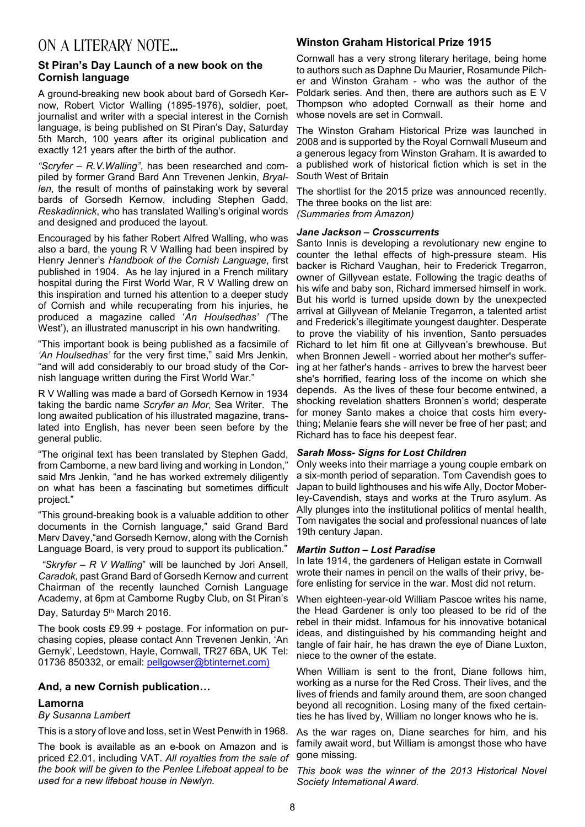# ON A LITERARY NOTE...

### **St Piran's Day Launch of a new book on the Cornish language**

A ground-breaking new book about bard of Gorsedh Kernow, Robert Victor Walling (1895-1976), soldier, poet, journalist and writer with a special interest in the Cornish language, is being published on St Piran's Day, Saturday 5th March, 100 years after its original publication and exactly 121 years after the birth of the author.

*"Scryfer – R.V.Walling"*, has been researched and compiled by former Grand Bard Ann Trevenen Jenkin, *Bryallen*, the result of months of painstaking work by several bards of Gorsedh Kernow, including Stephen Gadd, *Reskadinnick*, who has translated Walling's original words and designed and produced the layout.

Encouraged by his father Robert Alfred Walling, who was also a bard, the young R V Walling had been inspired by Henry Jenner's *Handbook of the Cornish Language*, first published in 1904. As he lay injured in a French military hospital during the First World War, R V Walling drew on this inspiration and turned his attention to a deeper study of Cornish and while recuperating from his injuries, he produced a magazine called '*An Houlsedhas' (*'The West'), an illustrated manuscript in his own handwriting.

"This important book is being published as a facsimile of *'An Houlsedhas'* for the very first time," said Mrs Jenkin, "and will add considerably to our broad study of the Cornish language written during the First World War."

R V Walling was made a bard of Gorsedh Kernow in 1934 taking the bardic name *Scryfer an Mor,* Sea Writer. The long awaited publication of his illustrated magazine, translated into English, has never been seen before by the general public.

"The original text has been translated by Stephen Gadd, from Camborne, a new bard living and working in London," said Mrs Jenkin, "and he has worked extremely diligently on what has been a fascinating but sometimes difficult project."

"This ground-breaking book is a valuable addition to other documents in the Cornish language," said Grand Bard Merv Davey,"and Gorsedh Kernow, along with the Cornish Language Board, is very proud to support its publication."

 *"Skryfer – R V Walling*" will be launched by Jori Ansell, *Caradok,* past Grand Bard of Gorsedh Kernow and current Chairman of the recently launched Cornish Language Academy, at 6pm at Camborne Rugby Club, on St Piran's

Day, Saturday 5<sup>th</sup> March 2016.

The book costs £9.99 + postage. For information on purchasing copies, please contact Ann Trevenen Jenkin, 'An Gernyk', Leedstown, Hayle, Cornwall, TR27 6BA, UK Tel: 01736 850332, or email: pellgowser@btinternet.com)

# **And, a new Cornish publication…**

### **Lamorna**

### *By Susanna Lambert*

This is a story of love and loss, set in West Penwith in 1968.

The book is available as an e-book on Amazon and is priced £2.01, including VAT. *All royalties from the sale of the book will be given to the Penlee Lifeboat appeal to be used for a new lifeboat house in Newlyn.*

# **Winston Graham Historical Prize 1915**

Cornwall has a very strong literary heritage, being home to authors such as Daphne Du Maurier, Rosamunde Pilcher and Winston Graham - who was the author of the Poldark series. And then, there are authors such as E V Thompson who adopted Cornwall as their home and whose novels are set in Cornwall.

The Winston Graham Historical Prize was launched in 2008 and is supported by the Royal Cornwall Museum and a generous legacy from Winston Graham. It is awarded to a published work of historical fiction which is set in the South West of Britain

The shortlist for the 2015 prize was announced recently. The three books on the list are: *(Summaries from Amazon)*

#### *Jane Jackson – Crosscurrents*

Santo Innis is developing a revolutionary new engine to counter the lethal effects of high-pressure steam. His backer is Richard Vaughan, heir to Frederick Tregarron, owner of Gillyvean estate. Following the tragic deaths of his wife and baby son, Richard immersed himself in work. But his world is turned upside down by the unexpected arrival at Gillyvean of Melanie Tregarron, a talented artist and Frederick's illegitimate youngest daughter. Desperate to prove the viability of his invention, Santo persuades Richard to let him fit one at Gillyvean's brewhouse. But when Bronnen Jewell - worried about her mother's suffering at her father's hands - arrives to brew the harvest beer she's horrified, fearing loss of the income on which she depends. As the lives of these four become entwined, a shocking revelation shatters Bronnen's world; desperate for money Santo makes a choice that costs him everything; Melanie fears she will never be free of her past; and Richard has to face his deepest fear.

### *Sarah Moss- Signs for Lost Children*

Only weeks into their marriage a young couple embark on a six-month period of separation. Tom Cavendish goes to Japan to build lighthouses and his wife Ally, Doctor Moberley-Cavendish, stays and works at the Truro asylum. As Ally plunges into the institutional politics of mental health, Tom navigates the social and professional nuances of late 19th century Japan.

#### *Martin Sutton – Lost Paradise*

In late 1914, the gardeners of Heligan estate in Cornwall wrote their names in pencil on the walls of their privy, before enlisting for service in the war. Most did not return.

When eighteen-year-old William Pascoe writes his name, the Head Gardener is only too pleased to be rid of the rebel in their midst. Infamous for his innovative botanical ideas, and distinguished by his commanding height and tangle of fair hair, he has drawn the eye of Diane Luxton, niece to the owner of the estate.

When William is sent to the front, Diane follows him, working as a nurse for the Red Cross. Their lives, and the lives of friends and family around them, are soon changed beyond all recognition. Losing many of the fixed certainties he has lived by, William no longer knows who he is.

As the war rages on, Diane searches for him, and his family await word, but William is amongst those who have gone missing.

*This book was the winner of the 2013 Historical Novel Society International Award.*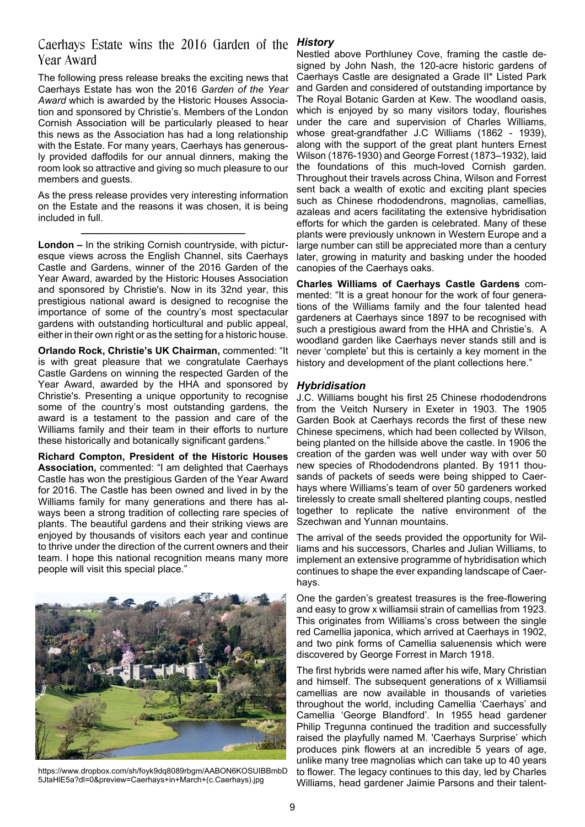# Caerhays Estate wins the 2016 Garden of the *History* Year Award

The following press release breaks the exciting news that Caerhays Estate has won the 2016 *Garden of the Year Award* which is awarded by the Historic Houses Association and sponsored by Christie's. Members of the London Cornish Association will be particularly pleased to hear this news as the Association has had a long relationship with the Estate. For many years, Caerhays has generously provided daffodils for our annual dinners, making the room look so attractive and giving so much pleasure to our members and guests.

As the press release provides very interesting information on the Estate and the reasons it was chosen, it is being included in full.

*\_\_\_\_\_\_\_\_\_\_\_\_\_\_\_\_\_\_\_\_\_\_\_\_\_\_\_\_\_\_*

**London –** In the striking Cornish countryside, with picturesque views across the English Channel, sits Caerhays Castle and Gardens, winner of the 2016 Garden of the Year Award, awarded by the Historic Houses Association and sponsored by Christie's. Now in its 32nd year, this prestigious national award is designed to recognise the importance of some of the country's most spectacular gardens with outstanding horticultural and public appeal, either in their own right or as the setting for a historic house.

**Orlando Rock, Christie's UK Chairman,** commented: "It is with great pleasure that we congratulate Caerhays Castle Gardens on winning the respected Garden of the Year Award, awarded by the HHA and sponsored by Christie's. Presenting a unique opportunity to recognise some of the country's most outstanding gardens, the award is a testament to the passion and care of the Williams family and their team in their efforts to nurture these historically and botanically significant gardens."

**Richard Compton, President of the Historic Houses Association,** commented: "I am delighted that Caerhays Castle has won the prestigious Garden of the Year Award for 2016. The Castle has been owned and lived in by the Williams family for many generations and there has always been a strong tradition of collecting rare species of plants. The beautiful gardens and their striking views are enjoyed by thousands of visitors each year and continue to thrive under the direction of the current owners and their team. I hope this national recognition means many more people will visit this special place."



https://www.dropbox.com/sh/foyk9dq8089rbgm/AABON6KOSUIBBmbD 5JtaHlE5a?dl=0&preview=Caerhays+in+March+(c.Caerhays).jpg

Nestled above Porthluney Cove, framing the castle designed by John Nash, the 120-acre historic gardens of Caerhays Castle are designated a Grade II\* Listed Park and Garden and considered of outstanding importance by The Royal Botanic Garden at Kew. The woodland oasis, which is enjoyed by so many visitors today, flourishes under the care and supervision of Charles Williams, whose great-grandfather J.C Williams (1862 - 1939), along with the support of the great plant hunters Ernest Wilson (1876-1930) and George Forrest (1873–1932), laid the foundations of this much-loved Cornish garden. Throughout their travels across China, Wilson and Forrest sent back a wealth of exotic and exciting plant species such as Chinese rhododendrons, magnolias, camellias, azaleas and acers facilitating the extensive hybridisation efforts for which the garden is celebrated. Many of these plants were previously unknown in Western Europe and a large number can still be appreciated more than a century later, growing in maturity and basking under the hooded canopies of the Caerhays oaks.

**Charles Williams of Caerhays Castle Gardens** commented: "It is a great honour for the work of four generations of the Williams family and the four talented head gardeners at Caerhays since 1897 to be recognised with such a prestigious award from the HHA and Christie's. A woodland garden like Caerhays never stands still and is never 'complete' but this is certainly a key moment in the history and development of the plant collections here."

#### *Hybridisation*

J.C. Williams bought his first 25 Chinese rhododendrons from the Veitch Nursery in Exeter in 1903. The 1905 Garden Book at Caerhays records the first of these new Chinese specimens, which had been collected by Wilson, being planted on the hillside above the castle. In 1906 the creation of the garden was well under way with over 50 new species of Rhododendrons planted. By 1911 thousands of packets of seeds were being shipped to Caerhays where Williams's team of over 50 gardeners worked tirelessly to create small sheltered planting coups, nestled together to replicate the native environment of the Szechwan and Yunnan mountains.

The arrival of the seeds provided the opportunity for Williams and his successors, Charles and Julian Williams, to implement an extensive programme of hybridisation which continues to shape the ever expanding landscape of Caerhays.

One the garden's greatest treasures is the free-flowering and easy to grow x williamsii strain of camellias from 1923. This originates from Williams's cross between the single red Camellia japonica, which arrived at Caerhays in 1902, and two pink forms of Camellia saluenensis which were discovered by George Forrest in March 1918.

The first hybrids were named after his wife, Mary Christian and himself. The subsequent generations of x Williamsii camellias are now available in thousands of varieties throughout the world, including Camellia 'Caerhays' and Camellia 'George Blandford'. In 1955 head gardener Philip Tregunna continued the tradition and successfully raised the playfully named M. 'Caerhays Surprise' which produces pink flowers at an incredible 5 years of age, unlike many tree magnolias which can take up to 40 years to flower. The legacy continues to this day, led by Charles Williams, head gardener Jaimie Parsons and their talent-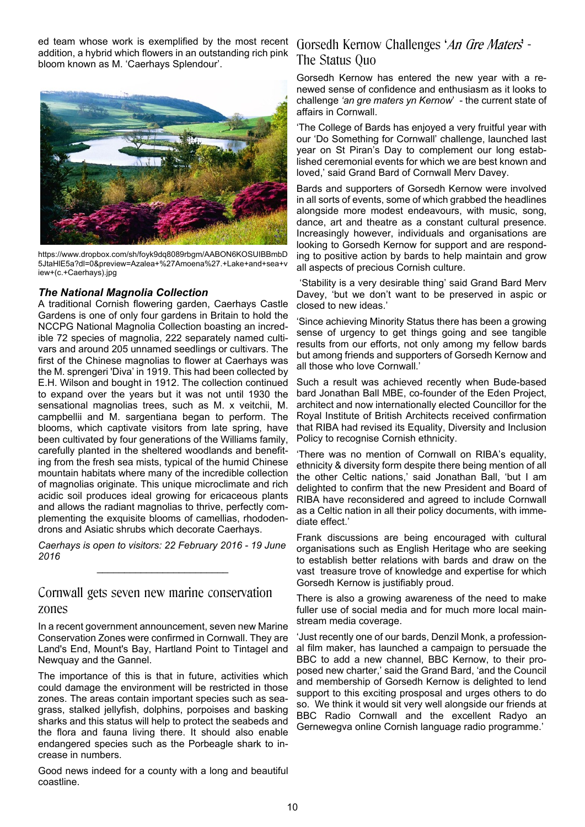ed team whose work is exemplified by the most recent addition, a hybrid which flowers in an outstanding rich pink bloom known as M. 'Caerhays Splendour'.



https://www.dropbox.com/sh/foyk9dq8089rbgm/AABON6KOSUIBBmbD 5JtaHlE5a?dl=0&preview=Azalea+%27Amoena%27.+Lake+and+sea+v iew+(c.+Caerhays).jpg

#### *The National Magnolia Collection*

A traditional Cornish flowering garden, Caerhays Castle Gardens is one of only four gardens in Britain to hold the NCCPG National Magnolia Collection boasting an incredible 72 species of magnolia, 222 separately named cultivars and around 205 unnamed seedlings or cultivars. The first of the Chinese magnolias to flower at Caerhays was the M. sprengeri 'Diva' in 1919. This had been collected by E.H. Wilson and bought in 1912. The collection continued to expand over the years but it was not until 1930 the sensational magnolias trees, such as M. x veitchii, M. campbellii and M. sargentiana began to perform. The blooms, which captivate visitors from late spring, have been cultivated by four generations of the Williams family, carefully planted in the sheltered woodlands and benefiting from the fresh sea mists, typical of the humid Chinese mountain habitats where many of the incredible collection of magnolias originate. This unique microclimate and rich acidic soil produces ideal growing for ericaceous plants and allows the radiant magnolias to thrive, perfectly complementing the exquisite blooms of camellias, rhododendrons and Asiatic shrubs which decorate Caerhays.

*Caerhays is open to visitors: 22 February 2016 - 19 June 2016 \_\_\_\_\_\_\_\_\_\_\_\_\_\_\_\_\_\_\_\_\_\_\_\_*

# Cornwall gets seven new marine conservation zones

In a recent government announcement, seven new Marine Conservation Zones were confirmed in Cornwall. They are Land's End, Mount's Bay, Hartland Point to Tintagel and Newquay and the Gannel.

The importance of this is that in future, activities which could damage the environment will be restricted in those zones. The areas contain important species such as seagrass, stalked jellyfish, dolphins, porpoises and basking sharks and this status will help to protect the seabeds and the flora and fauna living there. It should also enable endangered species such as the Porbeagle shark to increase in numbers.

Good news indeed for a county with a long and beautiful coastline.

# Gorsedh Kernow Challenges 'An Gre Maters' -The Status Quo

Gorsedh Kernow has entered the new year with a renewed sense of confidence and enthusiasm as it looks to challenge *'an gre maters yn Kernow*' - the current state of affairs in Cornwall.

'The College of Bards has enjoyed a very fruitful year with our 'Do Something for Cornwall' challenge, launched last year on St Piran's Day to complement our long established ceremonial events for which we are best known and loved,' said Grand Bard of Cornwall Merv Davey.

Bards and supporters of Gorsedh Kernow were involved in all sorts of events, some of which grabbed the headlines alongside more modest endeavours, with music, song, dance, art and theatre as a constant cultural presence. Increasingly however, individuals and organisations are looking to Gorsedh Kernow for support and are responding to positive action by bards to help maintain and grow all aspects of precious Cornish culture.

 'Stability is a very desirable thing' said Grand Bard Merv Davey, 'but we don't want to be preserved in aspic or closed to new ideas.'

'Since achieving Minority Status there has been a growing sense of urgency to get things going and see tangible results from our efforts, not only among my fellow bards but among friends and supporters of Gorsedh Kernow and all those who love Cornwall.'

Such a result was achieved recently when Bude-based bard Jonathan Ball MBE, co-founder of the Eden Project, architect and now internationally elected Councillor for the Royal Institute of British Architects received confirmation that RIBA had revised its Equality, Diversity and Inclusion Policy to recognise Cornish ethnicity.

'There was no mention of Cornwall on RIBA's equality, ethnicity & diversity form despite there being mention of all the other Celtic nations,' said Jonathan Ball, 'but I am delighted to confirm that the new President and Board of RIBA have reconsidered and agreed to include Cornwall as a Celtic nation in all their policy documents, with immediate effect.'

Frank discussions are being encouraged with cultural organisations such as English Heritage who are seeking to establish better relations with bards and draw on the vast treasure trove of knowledge and expertise for which Gorsedh Kernow is justifiably proud.

There is also a growing awareness of the need to make fuller use of social media and for much more local mainstream media coverage.

'Just recently one of our bards, Denzil Monk, a professional film maker, has launched a campaign to persuade the BBC to add a new channel, BBC Kernow, to their proposed new charter,' said the Grand Bard, 'and the Council and membership of Gorsedh Kernow is delighted to lend support to this exciting prosposal and urges others to do so. We think it would sit very well alongside our friends at BBC Radio Cornwall and the excellent Radyo an Gernewegva online Cornish language radio programme.'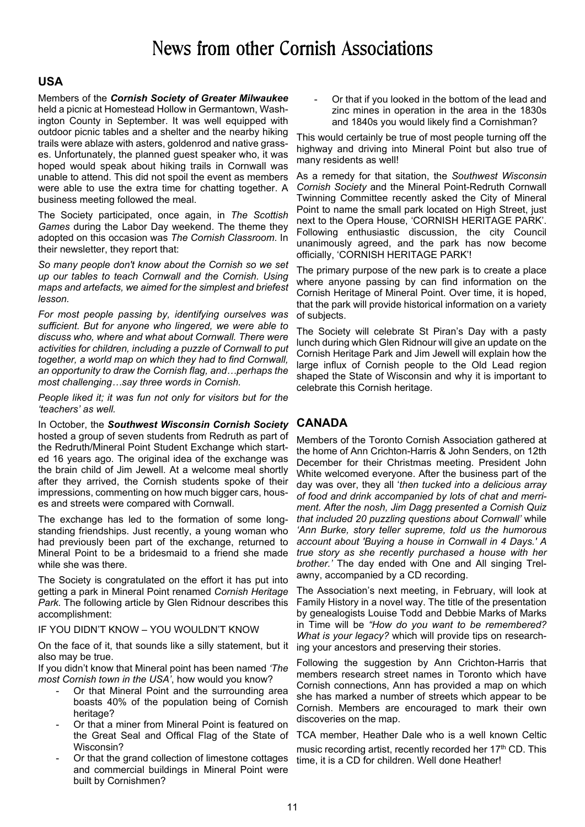# News from other Cornish Associations

### **USA**

Members of the *Cornish Society of Greater Milwaukee* held a picnic at Homestead Hollow in Germantown, Washington County in September. It was well equipped with outdoor picnic tables and a shelter and the nearby hiking trails were ablaze with asters, goldenrod and native grasses. Unfortunately, the planned guest speaker who, it was hoped would speak about hiking trails in Cornwall was unable to attend. This did not spoil the event as members were able to use the extra time for chatting together. A business meeting followed the meal.

The Society participated, once again, in *The Scottish Games* during the Labor Day weekend. The theme they adopted on this occasion was *The Cornish Classroom*. In their newsletter, they report that:

*So many people don't know about the Cornish so we set up our tables to teach Cornwall and the Cornish. Using maps and artefacts, we aimed for the simplest and briefest lesson.*

*For most people passing by, identifying ourselves was sufficient. But for anyone who lingered, we were able to discuss who, where and what about Cornwall. There were activities for children, including a puzzle of Cornwall to put together, a world map on which they had to find Cornwall, an opportunity to draw the Cornish flag, and…perhaps the most challenging…say three words in Cornish.*

*People liked it; it was fun not only for visitors but for the 'teachers' as well.*

In October, the *Southwest Wisconsin Cornish Society* hosted a group of seven students from Redruth as part of the Redruth/Mineral Point Student Exchange which started 16 years ago. The original idea of the exchange was the brain child of Jim Jewell. At a welcome meal shortly after they arrived, the Cornish students spoke of their impressions, commenting on how much bigger cars, houses and streets were compared with Cornwall.

The exchange has led to the formation of some longstanding friendships. Just recently, a young woman who had previously been part of the exchange, returned to Mineral Point to be a bridesmaid to a friend she made while she was there.

The Society is congratulated on the effort it has put into getting a park in Mineral Point renamed *Cornish Heritage Park.* The following article by Glen Ridnour describes this accomplishment:

#### IF YOU DIDN'T KNOW – YOU WOULDN'T KNOW

On the face of it, that sounds like a silly statement, but it also may be true.

If you didn't know that Mineral point has been named *'The most Cornish town in the USA'*, how would you know?

- Or that Mineral Point and the surrounding area boasts 40% of the population being of Cornish heritage?
- Or that a miner from Mineral Point is featured on the Great Seal and Offical Flag of the State of Wisconsin?
- Or that the grand collection of limestone cottages and commercial buildings in Mineral Point were built by Cornishmen?

Or that if you looked in the bottom of the lead and zinc mines in operation in the area in the 1830s and 1840s you would likely find a Cornishman?

This would certainly be true of most people turning off the highway and driving into Mineral Point but also true of many residents as well!

As a remedy for that sitation, the *Southwest Wisconsin Cornish Society* and the Mineral Point-Redruth Cornwall Twinning Committee recently asked the City of Mineral Point to name the small park located on High Street, just next to the Opera House, 'CORNISH HERITAGE PARK'. Following enthusiastic discussion, the city Council unanimously agreed, and the park has now become officially, 'CORNISH HERITAGE PARK'!

The primary purpose of the new park is to create a place where anyone passing by can find information on the Cornish Heritage of Mineral Point. Over time, it is hoped, that the park will provide historical information on a variety of subjects.

The Society will celebrate St Piran's Day with a pasty lunch during which Glen Ridnour will give an update on the Cornish Heritage Park and Jim Jewell will explain how the large influx of Cornish people to the Old Lead region shaped the State of Wisconsin and why it is important to celebrate this Cornish heritage.

### **CANADA**

Members of the Toronto Cornish Association gathered at the home of Ann Crichton-Harris & John Senders, on 12th December for their Christmas meeting. President John White welcomed everyone. After the business part of the day was over, they all '*then tucked into a delicious array of food and drink accompanied by lots of chat and merriment. After the nosh, Jim Dagg presented a Cornish Quiz that included 20 puzzling questions about Cornwall'* while *'Ann Burke, story teller supreme, told us the humorous account about 'Buying a house in Cornwall in 4 Days.' A true story as she recently purchased a house with her brother.'* The day ended with One and All singing Trelawny, accompanied by a CD recording.

The Association's next meeting, in February, will look at Family History in a novel way. The title of the presentation by genealogists Louise Todd and Debbie Marks of Marks in Time will be *"How do you want to be remembered? What is your legacy?* which will provide tips on researching your ancestors and preserving their stories.

Following the suggestion by Ann Crichton-Harris that members research street names in Toronto which have Cornish connections, Ann has provided a map on which she has marked a number of streets which appear to be Cornish. Members are encouraged to mark their own discoveries on the map.

TCA member, Heather Dale who is a well known Celtic music recording artist, recently recorded her 17<sup>th</sup> CD. This time, it is a CD for children. Well done Heather!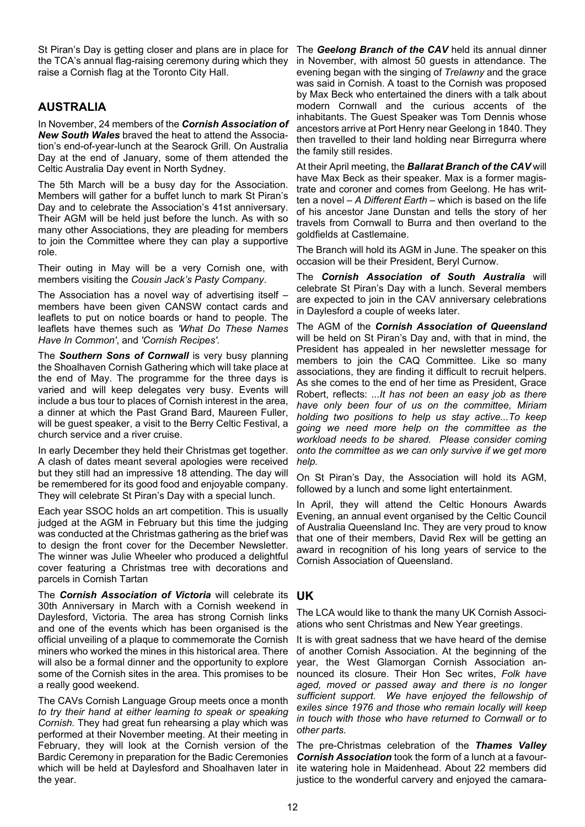St Piran's Day is getting closer and plans are in place for the TCA's annual flag-raising ceremony during which they raise a Cornish flag at the Toronto City Hall.

## **AUSTRALIA**

In November, 24 members of the *Cornish Association of New South Wales* braved the heat to attend the Association's end-of-year-lunch at the Searock Grill. On Australia Day at the end of January, some of them attended the Celtic Australia Day event in North Sydney.

The 5th March will be a busy day for the Association. Members will gather for a buffet lunch to mark St Piran's Day and to celebrate the Association's 41st anniversary. Their AGM will be held just before the lunch. As with so many other Associations, they are pleading for members to join the Committee where they can play a supportive role.

Their outing in May will be a very Cornish one, with members visiting the *Cousin Jack's Pasty Company*.

The Association has a novel way of advertising itself – members have been given CANSW contact cards and leaflets to put on notice boards or hand to people. The leaflets have themes such as *'What Do These Names Have In Common'*, and *'Cornish Recipes'.*

The *Southern Sons of Cornwall* is very busy planning the Shoalhaven Cornish Gathering which will take place at the end of May. The programme for the three days is varied and will keep delegates very busy. Events will include a bus tour to places of Cornish interest in the area, a dinner at which the Past Grand Bard, Maureen Fuller, will be guest speaker, a visit to the Berry Celtic Festival, a church service and a river cruise.

In early December they held their Christmas get together. A clash of dates meant several apologies were received but they still had an impressive 18 attending. The day will be remembered for its good food and enjoyable company. They will celebrate St Piran's Day with a special lunch.

Each year SSOC holds an art competition. This is usually judged at the AGM in February but this time the judging was conducted at the Christmas gathering as the brief was to design the front cover for the December Newsletter. The winner was Julie Wheeler who produced a delightful cover featuring a Christmas tree with decorations and parcels in Cornish Tartan

The *Cornish Association of Victoria* will celebrate its 30th Anniversary in March with a Cornish weekend in Daylesford, Victoria. The area has strong Cornish links and one of the events which has been organised is the official unveiling of a plaque to commemorate the Cornish miners who worked the mines in this historical area. There will also be a formal dinner and the opportunity to explore some of the Cornish sites in the area. This promises to be a really good weekend.

The CAVs Cornish Language Group meets once a month *to try their hand at either learning to speak or speaking Cornish.* They had great fun rehearsing a play which was performed at their November meeting. At their meeting in February, they will look at the Cornish version of the Bardic Ceremony in preparation for the Badic Ceremonies which will be held at Daylesford and Shoalhaven later in the year.

The *Geelong Branch of the CAV* held its annual dinner in November, with almost 50 guests in attendance. The evening began with the singing of *Trelawny* and the grace was said in Cornish. A toast to the Cornish was proposed by Max Beck who entertained the diners with a talk about modern Cornwall and the curious accents of the inhabitants. The Guest Speaker was Tom Dennis whose ancestors arrive at Port Henry near Geelong in 1840. They then travelled to their land holding near Birregurra where the family still resides.

At their April meeting, the *Ballarat Branch of the CAV* will have Max Beck as their speaker. Max is a former magistrate and coroner and comes from Geelong. He has written a novel – *A Different Earth* – which is based on the life of his ancestor Jane Dunstan and tells the story of her travels from Cornwall to Burra and then overland to the goldfields at Castlemaine.

The Branch will hold its AGM in June. The speaker on this occasion will be their President, Beryl Curnow.

The *Cornish Association of South Australia* will celebrate St Piran's Day with a lunch. Several members are expected to join in the CAV anniversary celebrations in Daylesford a couple of weeks later.

The AGM of the *Cornish Association of Queensland* will be held on St Piran's Day and, with that in mind, the President has appealed in her newsletter message for members to join the CAQ Committee. Like so many associations, they are finding it difficult to recruit helpers. As she comes to the end of her time as President, Grace Robert, reflects: ...*It has not been an easy job as there have only been four of us on the committee, Miriam holding two positions to help us stay active...To keep going we need more help on the committee as the workload needs to be shared. Please consider coming onto the committee as we can only survive if we get more help.*

On St Piran's Day, the Association will hold its AGM, followed by a lunch and some light entertainment.

In April, they will attend the Celtic Honours Awards Evening, an annual event organised by the Celtic Council of Australia Queensland Inc. They are very proud to know that one of their members, David Rex will be getting an award in recognition of his long years of service to the Cornish Association of Queensland.

#### **UK**

The LCA would like to thank the many UK Cornish Associations who sent Christmas and New Year greetings.

It is with great sadness that we have heard of the demise of another Cornish Association. At the beginning of the year, the West Glamorgan Cornish Association announced its closure. Their Hon Sec writes, *Folk have aged, moved or passed away and there is no longer sufficient support. We have enjoyed the fellowship of exiles since 1976 and those who remain locally will keep in touch with those who have returned to Cornwall or to other parts.*

The pre-Christmas celebration of the *Thames Valley Cornish Association* took the form of a lunch at a favourite watering hole in Maidenhead. About 22 members did justice to the wonderful carvery and enjoyed the camara-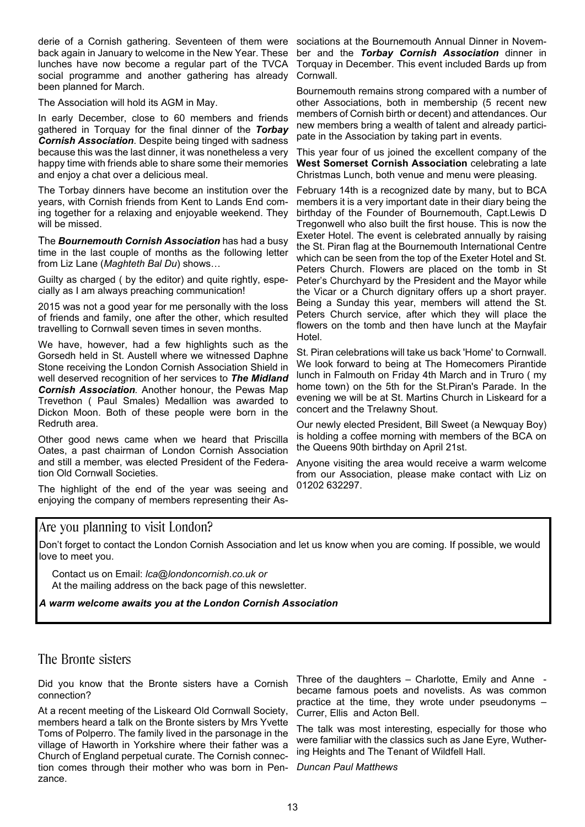derie of a Cornish gathering. Seventeen of them were sociations at the Bournemouth Annual Dinner in Novemback again in January to welcome in the New Year. These lunches have now become a regular part of the TVCA social programme and another gathering has already been planned for March.

The Association will hold its AGM in May.

In early December, close to 60 members and friends gathered in Torquay for the final dinner of the *Torbay Cornish Association*. Despite being tinged with sadness because this was the last dinner, it was nonetheless a very happy time with friends able to share some their memories and enjoy a chat over a delicious meal.

The Torbay dinners have become an institution over the years, with Cornish friends from Kent to Lands End coming together for a relaxing and enjoyable weekend. They will be missed.

The *Bournemouth Cornish Association* has had a busy time in the last couple of months as the following letter from Liz Lane (*Maghteth Bal Du*) shows…

Guilty as charged ( by the editor) and quite rightly, especially as I am always preaching communication!

2015 was not a good year for me personally with the loss of friends and family, one after the other, which resulted travelling to Cornwall seven times in seven months.

We have, however, had a few highlights such as the Gorsedh held in St. Austell where we witnessed Daphne Stone receiving the London Cornish Association Shield in well deserved recognition of her services to *The Midland Cornish Association.* Another honour, the Pewas Map Trevethon ( Paul Smales) Medallion was awarded to Dickon Moon. Both of these people were born in the Redruth area.

Other good news came when we heard that Priscilla Oates, a past chairman of London Cornish Association and still a member, was elected President of the Federation Old Cornwall Societies.

The highlight of the end of the year was seeing and enjoying the company of members representing their As-

ber and the *Torbay Cornish Association* dinner in Torquay in December. This event included Bards up from Cornwall.

Bournemouth remains strong compared with a number of other Associations, both in membership (5 recent new members of Cornish birth or decent) and attendances. Our new members bring a wealth of talent and already participate in the Association by taking part in events.

This year four of us joined the excellent company of the **West Somerset Cornish Association** celebrating a late Christmas Lunch, both venue and menu were pleasing.

February 14th is a recognized date by many, but to BCA members it is a very important date in their diary being the birthday of the Founder of Bournemouth, Capt.Lewis D Tregonwell who also built the first house. This is now the Exeter Hotel. The event is celebrated annually by raising the St. Piran flag at the Bournemouth International Centre which can be seen from the top of the Exeter Hotel and St. Peters Church. Flowers are placed on the tomb in St Peter's Churchyard by the President and the Mayor while the Vicar or a Church dignitary offers up a short prayer. Being a Sunday this year, members will attend the St. Peters Church service, after which they will place the flowers on the tomb and then have lunch at the Mayfair Hotel.

St. Piran celebrations will take us back 'Home' to Cornwall. We look forward to being at The Homecomers Pirantide lunch in Falmouth on Friday 4th March and in Truro ( my home town) on the 5th for the St.Piran's Parade. In the evening we will be at St. Martins Church in Liskeard for a concert and the Trelawny Shout.

Our newly elected President, Bill Sweet (a Newquay Boy) is holding a coffee morning with members of the BCA on the Queens 90th birthday on April 21st.

Anyone visiting the area would receive a warm welcome from our Association, please make contact with Liz on 01202 632297.

# Are you planning to visit London?

Don't forget to contact the London Cornish Association and let us know when you are coming. If possible, we would love to meet you.

Contact us on Email: *lca@londoncornish.co.uk or* At the mailing address on the back page of this newsletter.

*A warm welcome awaits you at the London Cornish Association*

# The Bronte sisters

Did you know that the Bronte sisters have a Cornish connection?

At a recent meeting of the Liskeard Old Cornwall Society, members heard a talk on the Bronte sisters by Mrs Yvette Toms of Polperro. The family lived in the parsonage in the village of Haworth in Yorkshire where their father was a Church of England perpetual curate. The Cornish connection comes through their mother who was born in Penzance.

Three of the daughters – Charlotte, Emily and Anne became famous poets and novelists. As was common practice at the time, they wrote under pseudonyms – Currer, Ellis and Acton Bell.

The talk was most interesting, especially for those who were familiar with the classics such as Jane Eyre, Wuthering Heights and The Tenant of Wildfell Hall.

*Duncan Paul Matthews*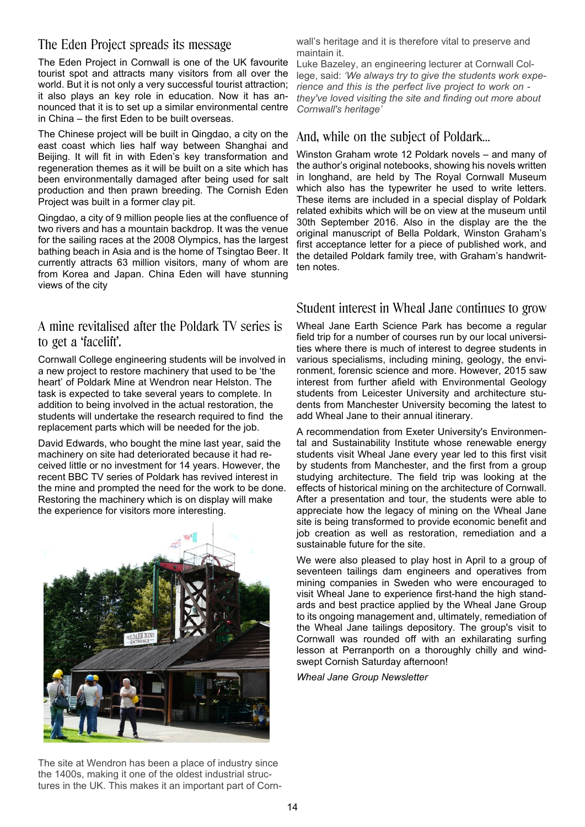# The Eden Project spreads its message

The Eden Project in Cornwall is one of the UK favourite tourist spot and attracts many visitors from all over the world. But it is not only a very successful tourist attraction; it also plays an key role in education. Now it has announced that it is to set up a similar environmental centre in China – the first Eden to be built overseas.

The Chinese project will be built in Qingdao, a city on the east coast which lies half way between Shanghai and Beijing. It will fit in with Eden's key transformation and regeneration themes as it will be built on a site which has been environmentally damaged after being used for salt production and then prawn breeding. The Cornish Eden Project was built in a former clay pit.

Qingdao, a city of 9 million people lies at the confluence of two rivers and has a mountain backdrop. It was the venue for the sailing races at the 2008 Olympics, has the largest bathing beach in Asia and is the home of Tsingtao Beer. It currently attracts 63 million visitors, many of whom are from Korea and Japan. China Eden will have stunning views of the city

# A mine revitalised after the Poldark TV series is to get a 'facelift'.

Cornwall College engineering students will be involved in a new project to restore machinery that used to be 'the heart' of Poldark Mine at Wendron near Helston. The task is expected to take several years to complete. In addition to being involved in the actual restoration, the students will undertake the research required to find the replacement parts which will be needed for the job.

David Edwards, who bought the mine last year, said the machinery on site had deteriorated because it had received little or no investment for 14 years. However, the recent BBC TV series of Poldark has revived interest in the mine and prompted the need for the work to be done. Restoring the machinery which is on display will make the experience for visitors more interesting.



The site at Wendron has been a place of industry since the 1400s, making it one of the oldest industrial structures in the UK. This makes it an important part of Cornwall's heritage and it is therefore vital to preserve and maintain it.

Luke Bazeley, an engineering lecturer at Cornwall College, said: *'We always try to give the students work experience and this is the perfect live project to work on they've loved visiting the site and finding out more about Cornwall's heritage'*

# And, while on the subject of Poldark…

Winston Graham wrote 12 Poldark novels – and many of the author's original notebooks, showing his novels written in longhand, are held by The Royal Cornwall Museum which also has the typewriter he used to write letters. These items are included in a special display of Poldark related exhibits which will be on view at the museum until 30th September 2016. Also in the display are the the original manuscript of Bella Poldark, Winston Graham's first acceptance letter for a piece of published work, and the detailed Poldark family tree, with Graham's handwritten notes.

# Student interest in Wheal Jane continues to grow

Wheal Jane Earth Science Park has become a regular field trip for a number of courses run by our local universities where there is much of interest to degree students in various specialisms, including mining, geology, the environment, forensic science and more. However, 2015 saw interest from further afield with Environmental Geology students from Leicester University and architecture students from Manchester University becoming the latest to add Wheal Jane to their annual itinerary.

A recommendation from Exeter University's Environmental and Sustainability Institute whose renewable energy students visit Wheal Jane every year led to this first visit by students from Manchester, and the first from a group studying architecture. The field trip was looking at the effects of historical mining on the architecture of Cornwall. After a presentation and tour, the students were able to appreciate how the legacy of mining on the Wheal Jane site is being transformed to provide economic benefit and job creation as well as restoration, remediation and a sustainable future for the site.

We were also pleased to play host in April to a group of seventeen tailings dam engineers and operatives from mining companies in Sweden who were encouraged to visit Wheal Jane to experience first-hand the high standards and best practice applied by the Wheal Jane Group to its ongoing management and, ultimately, remediation of the Wheal Jane tailings depository. The group's visit to Cornwall was rounded off with an exhilarating surfing lesson at Perranporth on a thoroughly chilly and windswept Cornish Saturday afternoon!

*Wheal Jane Group Newsletter*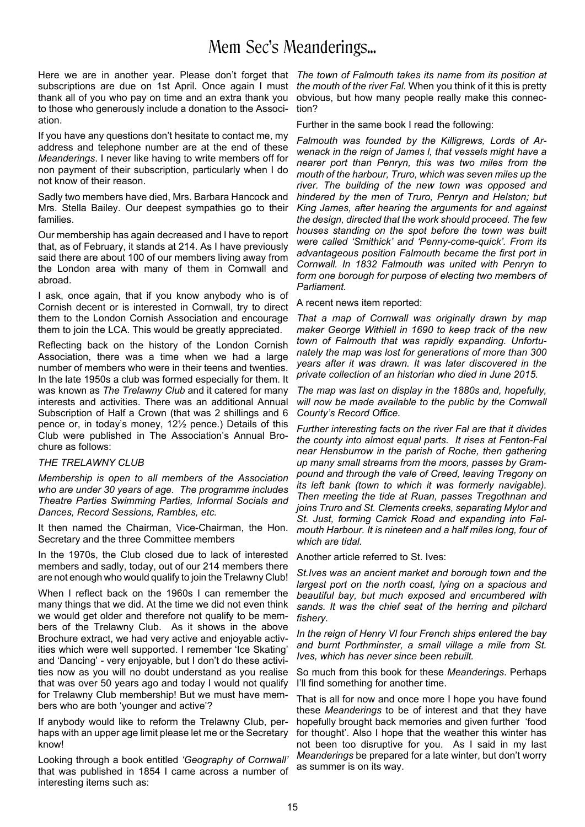# Mem Sec's Meanderings...

Here we are in another year. Please don't forget that subscriptions are due on 1st April. Once again I must thank all of you who pay on time and an extra thank you to those who generously include a donation to the Association.

If you have any questions don't hesitate to contact me, my address and telephone number are at the end of these *Meanderings*. I never like having to write members off for non payment of their subscription, particularly when I do not know of their reason.

Sadly two members have died, Mrs. Barbara Hancock and Mrs. Stella Bailey. Our deepest sympathies go to their families.

Our membership has again decreased and I have to report that, as of February, it stands at 214. As I have previously said there are about 100 of our members living away from the London area with many of them in Cornwall and abroad.

I ask, once again, that if you know anybody who is of Cornish decent or is interested in Cornwall, try to direct them to the London Cornish Association and encourage them to join the LCA. This would be greatly appreciated.

Reflecting back on the history of the London Cornish Association, there was a time when we had a large number of members who were in their teens and twenties. In the late 1950s a club was formed especially for them. It was known as *The Trelawny Club* and it catered for many interests and activities. There was an additional Annual Subscription of Half a Crown (that was 2 shillings and 6 pence or, in today's money, 12½ pence.) Details of this Club were published in The Association's Annual Brochure as follows:

#### *THE TRELAWNY CLUB*

*Membership is open to all members of the Association who are under 30 years of age. The programme includes Theatre Parties Swimming Parties, Informal Socials and Dances, Record Sessions, Rambles, etc.*

It then named the Chairman, Vice-Chairman, the Hon. Secretary and the three Committee members

In the 1970s, the Club closed due to lack of interested members and sadly, today, out of our 214 members there are not enough who would qualify to join the Trelawny Club!

When I reflect back on the 1960s I can remember the many things that we did. At the time we did not even think we would get older and therefore not qualify to be members of the Trelawny Club. As it shows in the above Brochure extract, we had very active and enjoyable activities which were well supported. I remember 'Ice Skating' and 'Dancing' - very enjoyable, but I don't do these activities now as you will no doubt understand as you realise that was over 50 years ago and today I would not qualify for Trelawny Club membership! But we must have members who are both 'younger and active'?

If anybody would like to reform the Trelawny Club, perhaps with an upper age limit please let me or the Secretary know!

Looking through a book entitled *'Geography of Cornwall'* that was published in 1854 I came across a number of interesting items such as:

*The town of Falmouth takes its name from its position at the mouth of the river Fal.* When you think of it this is pretty obvious, but how many people really make this connection?

Further in the same book I read the following:

*Falmouth was founded by the Killigrews, Lords of Arwenack in the reign of James l, that vessels might have a nearer port than Penryn, this was two miles from the mouth of the harbour, Truro, which was seven miles up the river. The building of the new town was opposed and hindered by the men of Truro, Penryn and Helston; but King James, after hearing the arguments for and against the design, directed that the work should proceed. The few houses standing on the spot before the town was built were called 'Smithick' and 'Penny-come-quick'. From its advantageous position Falmouth became the first port in Cornwall. In 1832 Falmouth was united with Penryn to form one borough for purpose of electing two members of Parliament.*

A recent news item reported:

*That a map of Cornwall was originally drawn by map maker George Withiell in 1690 to keep track of the new town of Falmouth that was rapidly expanding. Unfortunately the map was lost for generations of more than 300 years after it was drawn. It was later discovered in the private collection of an historian who died in June 2015.*

*The map was last on display in the 1880s and, hopefully, will now be made available to the public by the Cornwall County's Record Office.*

*Further interesting facts on the river Fal are that it divides the county into almost equal parts. It rises at Fenton-Fal near Hensburrow in the parish of Roche, then gathering up many small streams from the moors, passes by Grampound and through the vale of Creed, leaving Tregony on its left bank (town to which it was formerly navigable). Then meeting the tide at Ruan, passes Tregothnan and joins Truro and St. Clements creeks, separating Mylor and St. Just, forming Carrick Road and expanding into Falmouth Harbour. It is nineteen and a half miles long, four of which are tidal.*

Another article referred to St. Ives:

*St.Ives was an ancient market and borough town and the largest port on the north coast, lying on a spacious and beautiful bay, but much exposed and encumbered with sands. It was the chief seat of the herring and pilchard fishery.*

*In the reign of Henry Vl four French ships entered the bay and burnt Porthminster, a small village a mile from St. Ives, which has never since been rebuilt.*

So much from this book for these *Meanderings*. Perhaps I'll find something for another time.

That is all for now and once more I hope you have found these *Meanderings* to be of interest and that they have hopefully brought back memories and given further 'food for thought'. Also I hope that the weather this winter has not been too disruptive for you. As I said in my last *Meanderings* be prepared for a late winter, but don't worry as summer is on its way.